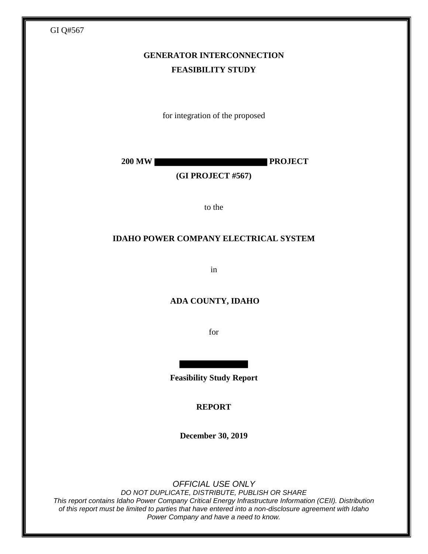| GI Q#567                                     |
|----------------------------------------------|
| <b>GENERATOR INTERCONNECTION</b>             |
| <b>FEASIBILITY STUDY</b>                     |
|                                              |
|                                              |
| for integration of the proposed              |
|                                              |
| <b>PROJECT</b><br><b>200 MW</b>              |
| (GI PROJECT #567)                            |
|                                              |
| to the                                       |
| <b>IDAHO POWER COMPANY ELECTRICAL SYSTEM</b> |
|                                              |
| in                                           |
|                                              |
| ADA COUNTY, IDAHO                            |
| for                                          |
|                                              |
|                                              |
| <b>Feasibility Study Report</b>              |
| <b>REPORT</b>                                |
|                                              |
| December 30, 2019                            |
|                                              |
|                                              |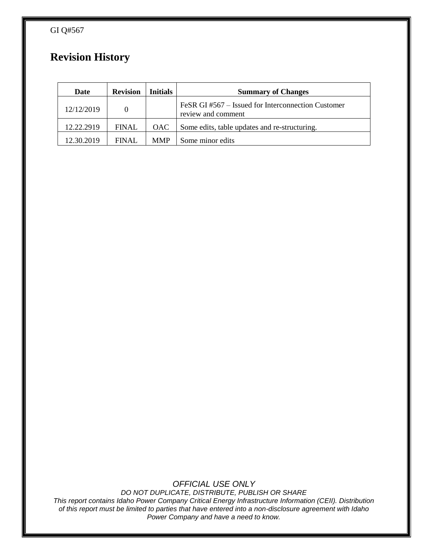GI Q#567

# **Revision History**

| Date       | <b>Revision</b> | <b>Initials</b> | <b>Summary of Changes</b>                                                |
|------------|-----------------|-----------------|--------------------------------------------------------------------------|
| 12/12/2019 | $\Omega$        |                 | FeSR GI #567 – Issued for Interconnection Customer<br>review and comment |
| 12.22.2919 | <b>FINAL</b>    | <b>OAC</b>      | Some edits, table updates and re-structuring.                            |
| 12.30.2019 | FINAL           | <b>MMP</b>      | Some minor edits                                                         |

*OFFICIAL USE ONLY*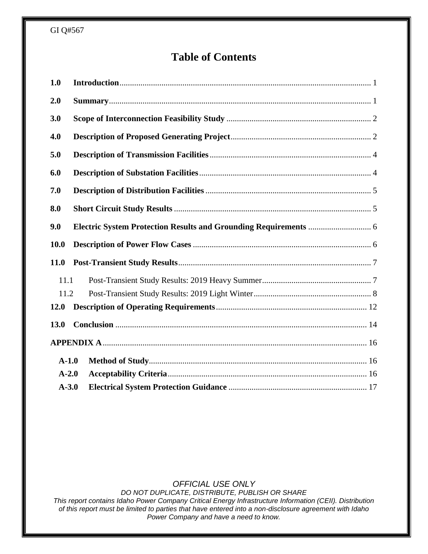# **Table of Contents**

| 1.0         |  |
|-------------|--|
| 2.0         |  |
| 3.0         |  |
| 4.0         |  |
| 5.0         |  |
| 6.0         |  |
| 7.0         |  |
| 8.0         |  |
| 9.0         |  |
| 10.0        |  |
|             |  |
| <b>11.0</b> |  |
| 11.1        |  |
| 11.2        |  |
| <b>12.0</b> |  |
| 13.0        |  |
|             |  |
| $A-1.0$     |  |
| $A-2.0$     |  |

## *OFFICIAL USE ONLY*

*DO NOT DUPLICATE, DISTRIBUTE, PUBLISH OR SHARE*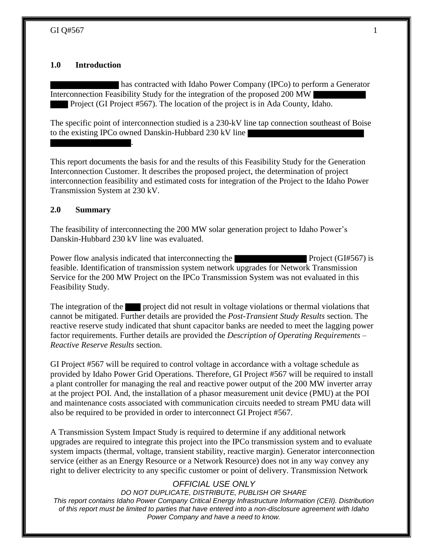#### **1.0 Introduction**

.

has contracted with Idaho Power Company (IPCo) to perform a Generator Interconnection Feasibility Study for the integration of the proposed 200 MW Project (GI Project #567). The location of the project is in Ada County, Idaho.

The specific point of interconnection studied is a 230-kV line tap connection southeast of Boise to the existing IPCo owned Danskin-Hubbard 230 kV line

This report documents the basis for and the results of this Feasibility Study for the Generation Interconnection Customer. It describes the proposed project, the determination of project interconnection feasibility and estimated costs for integration of the Project to the Idaho Power Transmission System at 230 kV.

#### **2.0 Summary**

The feasibility of interconnecting the 200 MW solar generation project to Idaho Power's Danskin-Hubbard 230 kV line was evaluated.

Power flow analysis indicated that interconnecting the Project (GI#567) is feasible. Identification of transmission system network upgrades for Network Transmission Service for the 200 MW Project on the IPCo Transmission System was not evaluated in this Feasibility Study.

The integration of the project did not result in voltage violations or thermal violations that cannot be mitigated. Further details are provided the *Post-Transient Study Results* section. The reactive reserve study indicated that shunt capacitor banks are needed to meet the lagging power factor requirements. Further details are provided the *Description of Operating Requirements – Reactive Reserve Results* section.

GI Project #567 will be required to control voltage in accordance with a voltage schedule as provided by Idaho Power Grid Operations. Therefore, GI Project #567 will be required to install a plant controller for managing the real and reactive power output of the 200 MW inverter array at the project POI. And, the installation of a phasor measurement unit device (PMU) at the POI and maintenance costs associated with communication circuits needed to stream PMU data will also be required to be provided in order to interconnect GI Project #567.

A Transmission System Impact Study is required to determine if any additional network upgrades are required to integrate this project into the IPCo transmission system and to evaluate system impacts (thermal, voltage, transient stability, reactive margin). Generator interconnection service (either as an Energy Resource or a Network Resource) does not in any way convey any right to deliver electricity to any specific customer or point of delivery. Transmission Network

#### *OFFICIAL USE ONLY*

*DO NOT DUPLICATE, DISTRIBUTE, PUBLISH OR SHARE*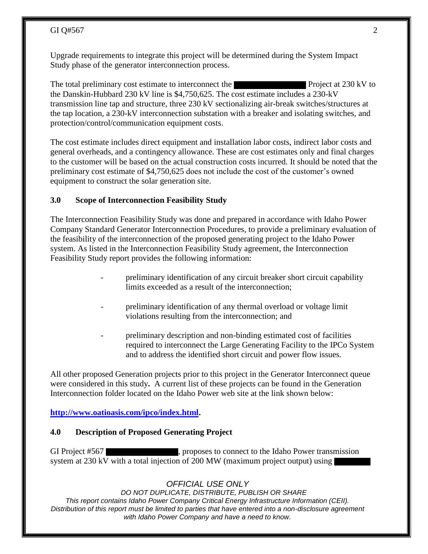Upgrade requirements to integrate this project will be determined during the System Impact Study phase of the generator interconnection process.

The total preliminary cost estimate to interconnect the Project at 230 kV to the Danskin-Hubbard 230 kV line is \$4,750,625. The cost estimate includes a 230-kV transmission line tap and structure, three 230 kV sectionalizing air-break switches/structures at the tap location, a 230-kV interconnection substation with a breaker and isolating switches, and protection/control/communication equipment costs.

The cost estimate includes direct equipment and installation labor costs, indirect labor costs and general overheads, and a contingency allowance. These are cost estimates only and final charges to the customer will be based on the actual construction costs incurred. It should be noted that the preliminary cost estimate of \$4,750,625 does not include the cost of the customer's owned equipment to construct the solar generation site.

#### **3.0 Scope of Interconnection Feasibility Study**

The Interconnection Feasibility Study was done and prepared in accordance with Idaho Power Company Standard Generator Interconnection Procedures, to provide a preliminary evaluation of the feasibility of the interconnection of the proposed generating project to the Idaho Power system. As listed in the Interconnection Feasibility Study agreement, the Interconnection Feasibility Study report provides the following information:

- preliminary identification of any circuit breaker short circuit capability limits exceeded as a result of the interconnection;
- preliminary identification of any thermal overload or voltage limit violations resulting from the interconnection; and
- preliminary description and non-binding estimated cost of facilities required to interconnect the Large Generating Facility to the IPCo System and to address the identified short circuit and power flow issues.

All other proposed Generation projects prior to this project in the Generator Interconnect queue were considered in this study**.** A current list of these projects can be found in the Generation Interconnection folder located on the Idaho Power web site at the link shown below:

## **http://www.oatioasis.com/ipco/index.html.**

#### **4.0 Description of Proposed Generating Project**

GI Project #567 , proposes to connect to the Idaho Power transmission system at 230 kV with a total injection of 200 MW (maximum project output) using

## *OFFICIAL USE ONLY*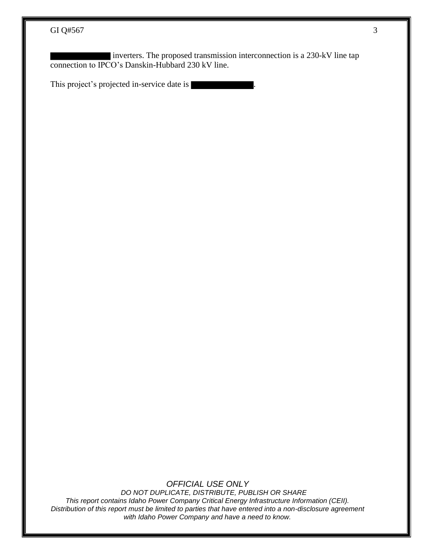inverters. The proposed transmission interconnection is a 230-kV line tap connection to IPCO's Danskin-Hubbard 230 kV line.

This project's projected in-service date is

*OFFICIAL USE ONLY*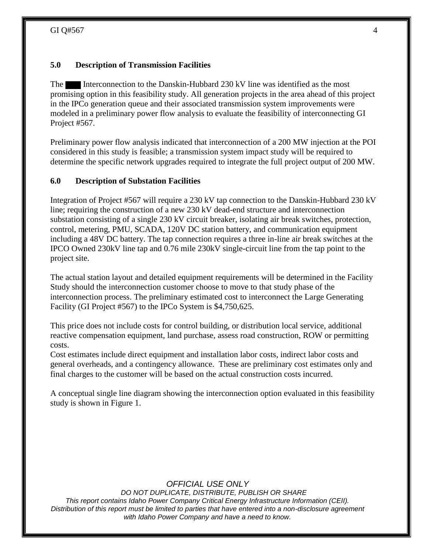## **5.0 Description of Transmission Facilities**

The Interconnection to the Danskin-Hubbard 230 kV line was identified as the most promising option in this feasibility study. All generation projects in the area ahead of this project in the IPCo generation queue and their associated transmission system improvements were modeled in a preliminary power flow analysis to evaluate the feasibility of interconnecting GI Project #567.

Preliminary power flow analysis indicated that interconnection of a 200 MW injection at the POI considered in this study is feasible; a transmission system impact study will be required to determine the specific network upgrades required to integrate the full project output of 200 MW.

## **6.0 Description of Substation Facilities**

Integration of Project #567 will require a 230 kV tap connection to the Danskin-Hubbard 230 kV line; requiring the construction of a new 230 kV dead-end structure and interconnection substation consisting of a single 230 kV circuit breaker, isolating air break switches, protection, control, metering, PMU, SCADA, 120V DC station battery, and communication equipment including a 48V DC battery. The tap connection requires a three in-line air break switches at the IPCO Owned 230kV line tap and 0.76 mile 230kV single-circuit line from the tap point to the project site.

The actual station layout and detailed equipment requirements will be determined in the Facility Study should the interconnection customer choose to move to that study phase of the interconnection process. The preliminary estimated cost to interconnect the Large Generating Facility (GI Project #567) to the IPCo System is \$4,750,625.

This price does not include costs for control building, or distribution local service, additional reactive compensation equipment, land purchase, assess road construction, ROW or permitting costs.

Cost estimates include direct equipment and installation labor costs, indirect labor costs and general overheads, and a contingency allowance. These are preliminary cost estimates only and final charges to the customer will be based on the actual construction costs incurred.

A conceptual single line diagram showing the interconnection option evaluated in this feasibility study is shown in Figure 1.

## *OFFICIAL USE ONLY*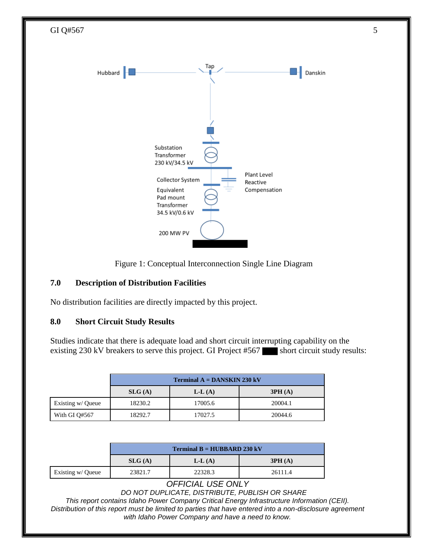

Figure 1: Conceptual Interconnection Single Line Diagram

## **7.0 Description of Distribution Facilities**

No distribution facilities are directly impacted by this project.

## **8.0 Short Circuit Study Results**

Studies indicate that there is adequate load and short circuit interrupting capability on the existing 230 kV breakers to serve this project. GI Project  $#567$  short circuit study results:

|                   |         | <b>Terminal A = DANSKIN 230 kV</b> |         |  |  |  |  |  |  |
|-------------------|---------|------------------------------------|---------|--|--|--|--|--|--|
|                   | SLG(A)  | $L-L(A)$                           | 3PH(A)  |  |  |  |  |  |  |
| Existing w/ Queue | 18230.2 | 17005.6                            | 20004.1 |  |  |  |  |  |  |
| With GI Q#567     | 18292.7 | 17027.5                            | 20044.6 |  |  |  |  |  |  |

|                   |         | <b>Terminal B = HUBBARD 230 kV</b> |         |
|-------------------|---------|------------------------------------|---------|
|                   | SLG(A)  | $L-L(A)$                           | 3PH(A)  |
| Existing w/ Queue | 23821.7 | 22328.3                            | 26111.4 |

#### *OFFICIAL USE ONLY*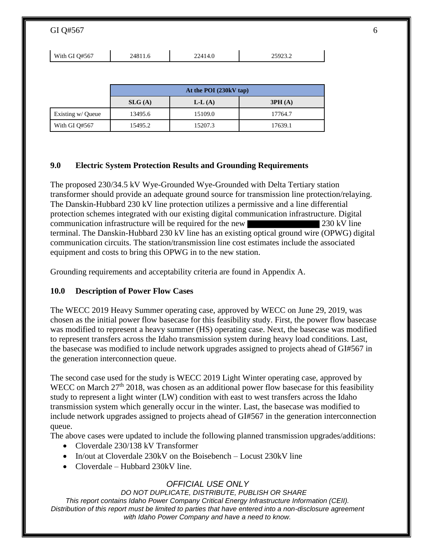| GI Q#567          |         |                        |         |  |
|-------------------|---------|------------------------|---------|--|
| With GI Q#567     | 24811.6 | 22414.0                | 25923.2 |  |
|                   |         |                        |         |  |
|                   |         |                        |         |  |
|                   |         | At the POI (230kV tap) |         |  |
|                   | SLG(A)  | $L-L(A)$               | 3PH(A)  |  |
| Existing w/ Queue | 13495.6 | 15109.0                | 17764.7 |  |

## **9.0 Electric System Protection Results and Grounding Requirements**

The proposed 230/34.5 kV Wye-Grounded Wye-Grounded with Delta Tertiary station transformer should provide an adequate ground source for transmission line protection/relaying. The Danskin-Hubbard 230 kV line protection utilizes a permissive and a line differential protection schemes integrated with our existing digital communication infrastructure. Digital communication infrastructure will be required for the new 230 kV line terminal. The Danskin-Hubbard 230 kV line has an existing optical ground wire (OPWG) digital communication circuits. The station/transmission line cost estimates include the associated equipment and costs to bring this OPWG in to the new station.

Grounding requirements and acceptability criteria are found in Appendix A.

## **10.0 Description of Power Flow Cases**

The WECC 2019 Heavy Summer operating case, approved by WECC on June 29, 2019, was chosen as the initial power flow basecase for this feasibility study. First, the power flow basecase was modified to represent a heavy summer (HS) operating case. Next, the basecase was modified to represent transfers across the Idaho transmission system during heavy load conditions. Last, the basecase was modified to include network upgrades assigned to projects ahead of GI#567 in the generation interconnection queue.

The second case used for the study is WECC 2019 Light Winter operating case, approved by WECC on March  $27<sup>th</sup> 2018$ , was chosen as an additional power flow basecase for this feasibility study to represent a light winter (LW) condition with east to west transfers across the Idaho transmission system which generally occur in the winter. Last, the basecase was modified to include network upgrades assigned to projects ahead of GI#567 in the generation interconnection queue.

The above cases were updated to include the following planned transmission upgrades/additions:

- Cloverdale 230/138 kV Transformer
- In/out at Cloverdale 230kV on the Boisebench Locust 230kV line
- Cloverdale Hubbard 230kV line.

# *OFFICIAL USE ONLY*

*DO NOT DUPLICATE, DISTRIBUTE, PUBLISH OR SHARE*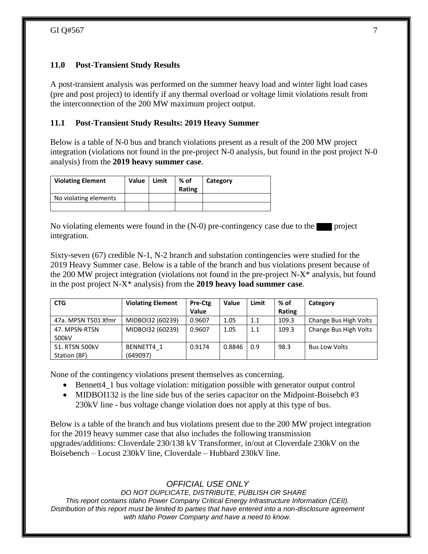## **11.0 Post-Transient Study Results**

A post-transient analysis was performed on the summer heavy load and winter light load cases (pre and post project) to identify if any thermal overload or voltage limit violations result from the interconnection of the 200 MW maximum project output.

## **11.1 Post-Transient Study Results: 2019 Heavy Summer**

Below is a table of N-0 bus and branch violations present as a result of the 200 MW project integration (violations not found in the pre-project N-0 analysis, but found in the post project N-0 analysis) from the **2019 heavy summer case**.

| <b>Violating Element</b> | Value | Limit | % of<br>Rating | Category |
|--------------------------|-------|-------|----------------|----------|
| No violating elements    |       |       |                |          |
|                          |       |       |                |          |

No violating elements were found in the  $(N-0)$  pre-contingency case due to the project integration.

Sixty-seven (67) credible N-1, N-2 branch and substation contingencies were studied for the 2019 Heavy Summer case. Below is a table of the branch and bus violations present because of the 200 MW project integration (violations not found in the pre-project N-X\* analysis, but found in the post project N-X\* analysis) from the **2019 heavy load summer case**.

| <b>CTG</b>          | <b>Violating Element</b> | Pre-Ctg      | Value  | Limit | % of   | Category              |
|---------------------|--------------------------|--------------|--------|-------|--------|-----------------------|
|                     |                          | <b>Value</b> |        |       | Rating |                       |
| 47a. MPSN T501 Xfmr | MIDBOI32 (60239)         | 0.9607       | 1.05   | 1.1   | 109.3  | Change Bus High Volts |
| 47. MPSN-RTSN       | MIDBOI32 (60239)         | 0.9607       | 1.05   | 1.1   | 109.3  | Change Bus High Volts |
| 500kV               |                          |              |        |       |        |                       |
| 51. RTSN 500kV      | BENNETT4 1               | 0.9174       | 0.8846 | 0.9   | 98.3   | <b>Bus Low Volts</b>  |
| Station (BF)        | (649097)                 |              |        |       |        |                       |

None of the contingency violations present themselves as concerning.

- Bennett4\_1 bus voltage violation: mitigation possible with generator output control
- MIDBOI132 is the line side bus of the series capacitor on the Midpoint-Boisebch #3 230kV line - bus voltage change violation does not apply at this type of bus.

Below is a table of the branch and bus violations present due to the 200 MW project integration for the 2019 heavy summer case that also includes the following transmission upgrades/additions: Cloverdale 230/138 kV Transformer, in/out at Cloverdale 230kV on the Boisebench – Locust 230kV line, Cloverdale – Hubbard 230kV line.

*OFFICIAL USE ONLY*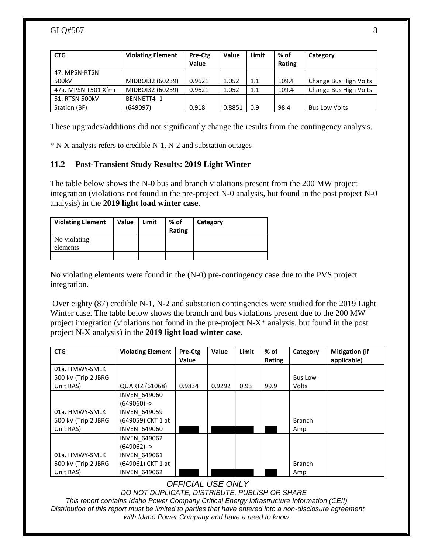### GI Q#567  $\frac{8}{3}$

| <b>CTG</b>          | <b>Violating Element</b> | Pre-Ctg | Value  | Limit | % of   | Category              |
|---------------------|--------------------------|---------|--------|-------|--------|-----------------------|
|                     |                          | Value   |        |       | Rating |                       |
| 47. MPSN-RTSN       |                          |         |        |       |        |                       |
| 500kV               | MIDBOI32 (60239)         | 0.9621  | 1.052  | 1.1   | 109.4  | Change Bus High Volts |
| 47a. MPSN T501 Xfmr | MIDBOI32 (60239)         | 0.9621  | 1.052  | 1.1   | 109.4  | Change Bus High Volts |
| 51. RTSN 500kV      | BENNETT4 1               |         |        |       |        |                       |
| Station (BF)        | (649097)                 | 0.918   | 0.8851 | 0.9   | 98.4   | <b>Bus Low Volts</b>  |

These upgrades/additions did not significantly change the results from the contingency analysis.

\* N-X analysis refers to credible N-1, N-2 and substation outages

### **11.2 Post-Transient Study Results: 2019 Light Winter**

The table below shows the N-0 bus and branch violations present from the 200 MW project integration (violations not found in the pre-project N-0 analysis, but found in the post project N-0 analysis) in the **2019 light load winter case**.

| <b>Violating Element</b> | Value | Limit | % of<br>Rating | Category |
|--------------------------|-------|-------|----------------|----------|
| No violating<br>elements |       |       |                |          |
|                          |       |       |                |          |

No violating elements were found in the (N-0) pre-contingency case due to the PVS project integration.

Over eighty (87) credible N-1, N-2 and substation contingencies were studied for the 2019 Light Winter case. The table below shows the branch and bus violations present due to the 200 MW project integration (violations not found in the pre-project N-X\* analysis, but found in the post project N-X analysis) in the **2019 light load winter case**.

| <b>CTG</b>          | <b>Violating Element</b> | Pre-Ctg<br>Value | Value  | Limit | $%$ of<br>Rating | Category       | <b>Mitigation (if</b><br>applicable) |
|---------------------|--------------------------|------------------|--------|-------|------------------|----------------|--------------------------------------|
| 01a. HMWY-SMLK      |                          |                  |        |       |                  |                |                                      |
| 500 kV (Trip 2 JBRG |                          |                  |        |       |                  | <b>Bus Low</b> |                                      |
| Unit RAS)           | <b>QUARTZ (61068)</b>    | 0.9834           | 0.9292 | 0.93  | 99.9             | Volts          |                                      |
|                     | <b>INVEN 649060</b>      |                  |        |       |                  |                |                                      |
|                     | $(649060)$ ->            |                  |        |       |                  |                |                                      |
| 01a. HMWY-SMLK      | <b>INVEN 649059</b>      |                  |        |       |                  |                |                                      |
| 500 kV (Trip 2 JBRG | (649059) CKT 1 at        |                  |        |       |                  | <b>Branch</b>  |                                      |
| Unit RAS)           | <b>INVEN 649060</b>      |                  |        |       |                  | Amp            |                                      |
|                     | <b>INVEN 649062</b>      |                  |        |       |                  |                |                                      |
|                     | $(649062)$ ->            |                  |        |       |                  |                |                                      |
| 01a. HMWY-SMLK      | <b>INVEN 649061</b>      |                  |        |       |                  |                |                                      |
| 500 kV (Trip 2 JBRG | (649061) CKT 1 at        |                  |        |       |                  | <b>Branch</b>  |                                      |
| Unit RAS)           | <b>INVEN 649062</b>      |                  |        |       |                  | Amp            |                                      |

#### *OFFICIAL USE ONLY*

*DO NOT DUPLICATE, DISTRIBUTE, PUBLISH OR SHARE*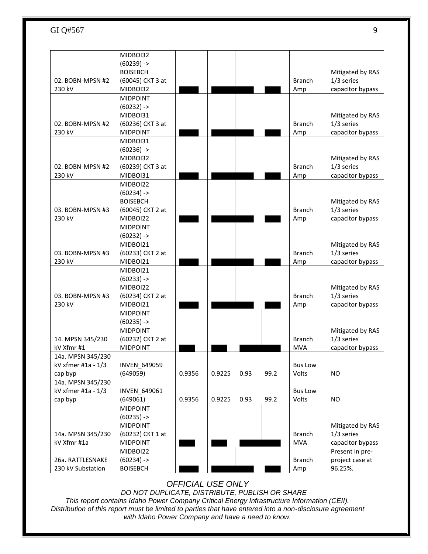|                                | MIDBOI32                            |        |        |      |      |                             |                  |
|--------------------------------|-------------------------------------|--------|--------|------|------|-----------------------------|------------------|
|                                | $(60239)$ ->                        |        |        |      |      |                             |                  |
|                                | <b>BOISEBCH</b>                     |        |        |      |      |                             | Mitigated by RAS |
| 02. BOBN-MPSN #2               | (60045) CKT 3 at                    |        |        |      |      | <b>Branch</b>               | 1/3 series       |
| 230 kV                         | MIDBOI32                            |        |        |      |      | Amp                         | capacitor bypass |
|                                | <b>MIDPOINT</b>                     |        |        |      |      |                             |                  |
|                                | $(60232)$ ->                        |        |        |      |      |                             |                  |
|                                | MIDBOI31                            |        |        |      |      |                             | Mitigated by RAS |
| 02. BOBN-MPSN #2               | (60236) CKT 3 at                    |        |        |      |      | <b>Branch</b>               | 1/3 series       |
| 230 kV                         | <b>MIDPOINT</b>                     |        |        |      |      | Amp                         | capacitor bypass |
|                                | MIDBOI31                            |        |        |      |      |                             |                  |
|                                | $(60236)$ ->                        |        |        |      |      |                             |                  |
|                                | MIDBOI32                            |        |        |      |      |                             | Mitigated by RAS |
| 02. BOBN-MPSN #2               | (60239) CKT 3 at                    |        |        |      |      | <b>Branch</b>               | 1/3 series       |
| 230 kV                         | MIDBOI31                            |        |        |      |      | Amp                         | capacitor bypass |
|                                | MIDBOI22                            |        |        |      |      |                             |                  |
|                                | $(60234)$ ->                        |        |        |      |      |                             |                  |
|                                | <b>BOISEBCH</b>                     |        |        |      |      |                             | Mitigated by RAS |
| 03. BOBN-MPSN #3               | (60045) CKT 2 at                    |        |        |      |      | <b>Branch</b>               | 1/3 series       |
| 230 kV                         | MIDBOI22                            |        |        |      |      | Amp                         | capacitor bypass |
|                                | <b>MIDPOINT</b>                     |        |        |      |      |                             |                  |
|                                | $(60232)$ ->                        |        |        |      |      |                             |                  |
|                                | MIDBOI21                            |        |        |      |      |                             | Mitigated by RAS |
| 03. BOBN-MPSN #3               | (60233) CKT 2 at                    |        |        |      |      | <b>Branch</b>               | 1/3 series       |
| 230 kV                         | MIDBOI21                            |        |        |      |      | Amp                         | capacitor bypass |
|                                | MIDBOI21                            |        |        |      |      |                             |                  |
|                                | $(60233)$ ->                        |        |        |      |      |                             |                  |
|                                | MIDBOI22                            |        |        |      |      |                             | Mitigated by RAS |
| 03. BOBN-MPSN #3               | (60234) CKT 2 at                    |        |        |      |      | <b>Branch</b>               | 1/3 series       |
| 230 kV                         | MIDBOI21                            |        |        |      |      | Amp                         | capacitor bypass |
|                                | <b>MIDPOINT</b>                     |        |        |      |      |                             |                  |
|                                | $(60235)$ ->                        |        |        |      |      |                             |                  |
|                                | <b>MIDPOINT</b>                     |        |        |      |      |                             | Mitigated by RAS |
| 14. MPSN 345/230<br>kV Xfmr #1 | (60232) CKT 2 at<br><b>MIDPOINT</b> |        |        |      |      | <b>Branch</b><br><b>MVA</b> | 1/3 series       |
| 14a. MPSN 345/230              |                                     |        |        |      |      |                             | capacitor bypass |
| kV xfmer #1a - 1/3             | INVEN_649059                        |        |        |      |      | <b>Bus Low</b>              |                  |
|                                | (649059)                            | 0.9356 | 0.9225 | 0.93 | 99.2 | Volts                       | <b>NO</b>        |
| cap byp<br>14a. MPSN 345/230   |                                     |        |        |      |      |                             |                  |
| kV xfmer #1a - 1/3             | INVEN_649061                        |        |        |      |      | <b>Bus Low</b>              |                  |
| cap byp                        | (649061)                            | 0.9356 | 0.9225 | 0.93 | 99.2 | Volts                       | <b>NO</b>        |
|                                | <b>MIDPOINT</b>                     |        |        |      |      |                             |                  |
|                                | $(60235)$ ->                        |        |        |      |      |                             |                  |
|                                | <b>MIDPOINT</b>                     |        |        |      |      |                             | Mitigated by RAS |
| 14a. MPSN 345/230              | (60232) CKT 1 at                    |        |        |      |      | <b>Branch</b>               | 1/3 series       |
| kV Xfmr #1a                    | <b>MIDPOINT</b>                     |        |        |      |      | <b>MVA</b>                  | capacitor bypass |
|                                | MIDBOI22                            |        |        |      |      |                             | Present in pre-  |
| 26a. RATTLESNAKE               | $(60234)$ ->                        |        |        |      |      | <b>Branch</b>               | project case at  |
| 230 kV Substation              | <b>BOISEBCH</b>                     |        |        |      |      | Amp                         | 96.25%.          |
|                                |                                     |        |        |      |      |                             |                  |

*OFFICIAL USE ONLY*

*DO NOT DUPLICATE, DISTRIBUTE, PUBLISH OR SHARE*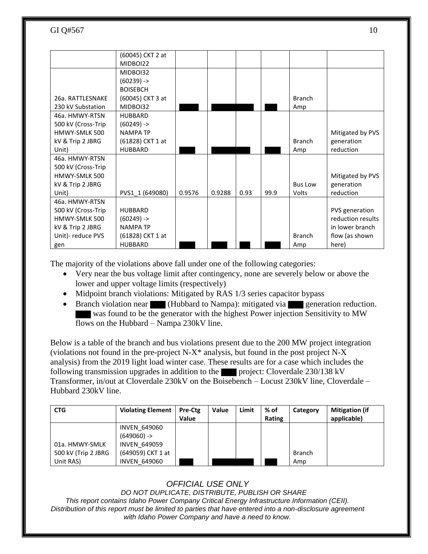|                    | (60045) CKT 2 at |        |        |      |      |                |                   |
|--------------------|------------------|--------|--------|------|------|----------------|-------------------|
|                    | MIDBOI22         |        |        |      |      |                |                   |
|                    | MIDBOI32         |        |        |      |      |                |                   |
|                    | $(60239)$ ->     |        |        |      |      |                |                   |
|                    | <b>BOISEBCH</b>  |        |        |      |      |                |                   |
| 26a. RATTLESNAKE   | (60045) CKT 3 at |        |        |      |      | <b>Branch</b>  |                   |
| 230 kV Substation  | MIDBOI32         |        |        |      |      | Amp            |                   |
| 46a. HMWY-RTSN     | <b>HUBBARD</b>   |        |        |      |      |                |                   |
| 500 kV (Cross-Trip | $(60249)$ ->     |        |        |      |      |                |                   |
| HMWY-SMLK 500      | <b>NAMPA TP</b>  |        |        |      |      |                | Mitigated by PVS  |
| kV & Trip 2 JBRG   | (61828) CKT 1 at |        |        |      |      | <b>Branch</b>  | generation        |
| Unit)              | <b>HUBBARD</b>   |        |        |      |      | Amp            | reduction         |
| 46a. HMWY-RTSN     |                  |        |        |      |      |                |                   |
| 500 kV (Cross-Trip |                  |        |        |      |      |                |                   |
| HMWY-SMLK 500      |                  |        |        |      |      |                | Mitigated by PVS  |
| kV & Trip 2 JBRG   |                  |        |        |      |      | <b>Bus Low</b> | generation        |
| Unit)              | PVS1_1 (649080)  | 0.9576 | 0.9288 | 0.93 | 99.9 | Volts          | reduction         |
| 46a. HMWY-RTSN     |                  |        |        |      |      |                |                   |
| 500 kV (Cross-Trip | <b>HUBBARD</b>   |        |        |      |      |                | PVS generation    |
| HMWY-SMLK 500      | $(60249)$ ->     |        |        |      |      |                | reduction results |
| kV & Trip 2 JBRG   | <b>NAMPA TP</b>  |        |        |      |      |                | in lower branch   |
| Unit)- reduce PVS  | (61828) CKT 1 at |        |        |      |      | <b>Branch</b>  | flow (as shown    |
| gen                | <b>HUBBARD</b>   |        |        |      |      | Amp            | here)             |

The majority of the violations above fall under one of the following categories:

- Very near the bus voltage limit after contingency, none are severely below or above the lower and upper voltage limits (respectively)
- Midpoint branch violations: Mitigated by RAS 1/3 series capacitor bypass
- Branch violation near (Hubbard to Nampa): mitigated via generation reduction. was found to be the generator with the highest Power injection Sensitivity to MW flows on the Hubbard – Nampa 230kV line.

Below is a table of the branch and bus violations present due to the 200 MW project integration (violations not found in the pre-project N-X\* analysis, but found in the post project N-X analysis) from the 2019 light load winter case. These results are for a case which includes the following transmission upgrades in addition to the project: Cloverdale  $230/138$  kV Transformer, in/out at Cloverdale 230kV on the Boisebench – Locust 230kV line, Cloverdale – Hubbard 230kV line.

| <b>CTG</b>          | <b>Violating Element</b> | Pre-Ctg<br><b>Value</b> | Value | Limit | % of<br>Rating | Category      | <b>Mitigation (if</b><br>applicable) |
|---------------------|--------------------------|-------------------------|-------|-------|----------------|---------------|--------------------------------------|
|                     | <b>INVEN 649060</b>      |                         |       |       |                |               |                                      |
|                     | $(649060)$ ->            |                         |       |       |                |               |                                      |
| 01a. HMWY-SMLK      | <b>INVEN 649059</b>      |                         |       |       |                |               |                                      |
| 500 kV (Trip 2 JBRG | (649059) CKT 1 at        |                         |       |       |                | <b>Branch</b> |                                      |
| Unit RAS)           | <b>INVEN 649060</b>      |                         |       |       |                | Amp           |                                      |

# *OFFICIAL USE ONLY*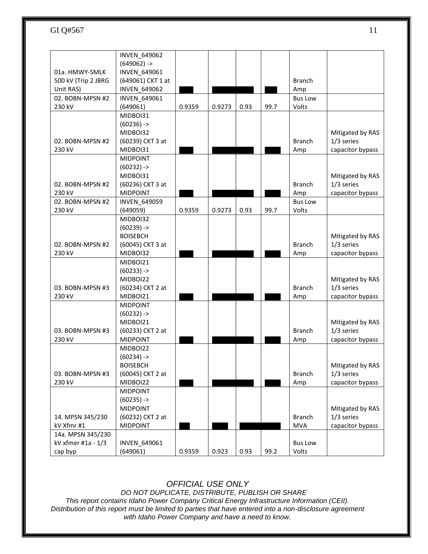|                            | INVEN_649062                    |        |        |      |      |                |                  |
|----------------------------|---------------------------------|--------|--------|------|------|----------------|------------------|
|                            | $(649062)$ ->                   |        |        |      |      |                |                  |
| 01a. HMWY-SMLK             | <b>INVEN 649061</b>             |        |        |      |      |                |                  |
| 500 kV (Trip 2 JBRG        | (649061) CKT 1 at               |        |        |      |      | <b>Branch</b>  |                  |
| Unit RAS)                  | <b>INVEN 649062</b>             |        |        |      |      | Amp            |                  |
| 02. BOBN-MPSN #2           | INVEN 649061                    |        |        |      |      | <b>Bus Low</b> |                  |
| 230 kV                     | (649061)                        | 0.9359 | 0.9273 | 0.93 | 99.7 | Volts          |                  |
|                            | MIDBOI31                        |        |        |      |      |                |                  |
|                            | $(60236)$ ->                    |        |        |      |      |                |                  |
|                            | MIDBOI32                        |        |        |      |      |                | Mitigated by RAS |
| 02. BOBN-MPSN #2           | (60239) CKT 3 at                |        |        |      |      | <b>Branch</b>  | 1/3 series       |
| 230 kV                     | MIDBOI31                        |        |        |      |      | Amp            | capacitor bypass |
|                            | <b>MIDPOINT</b>                 |        |        |      |      |                |                  |
|                            | $(60232)$ ->                    |        |        |      |      |                |                  |
|                            | MIDBOI31                        |        |        |      |      |                | Mitigated by RAS |
| 02. BOBN-MPSN #2           | (60236) CKT 3 at                |        |        |      |      | <b>Branch</b>  | 1/3 series       |
| 230 kV                     | <b>MIDPOINT</b>                 |        |        |      |      | Amp            | capacitor bypass |
| 02. BOBN-MPSN #2           | <b>INVEN 649059</b>             |        |        |      |      | <b>Bus Low</b> |                  |
| 230 kV                     | (649059)                        | 0.9359 | 0.9273 | 0.93 | 99.7 | Volts          |                  |
|                            | MIDBOI32                        |        |        |      |      |                |                  |
|                            | $(60239)$ ->                    |        |        |      |      |                |                  |
|                            | <b>BOISEBCH</b>                 |        |        |      |      |                | Mitigated by RAS |
| 02. BOBN-MPSN #2           | (60045) CKT 3 at                |        |        |      |      | <b>Branch</b>  | 1/3 series       |
| 230 kV                     | MIDBOI32                        |        |        |      |      | Amp            | capacitor bypass |
|                            | MIDBOI21                        |        |        |      |      |                |                  |
|                            | $(60233)$ ->                    |        |        |      |      |                |                  |
|                            | MIDBOI22                        |        |        |      |      |                | Mitigated by RAS |
| 03. BOBN-MPSN #3<br>230 kV | (60234) CKT 2 at<br>MIDBOI21    |        |        |      |      | <b>Branch</b>  | 1/3 series       |
|                            |                                 |        |        |      |      | Amp            | capacitor bypass |
|                            | <b>MIDPOINT</b><br>$(60232)$ -> |        |        |      |      |                |                  |
|                            | MIDBOI21                        |        |        |      |      |                | Mitigated by RAS |
| 03. BOBN-MPSN #3           | (60233) CKT 2 at                |        |        |      |      | <b>Branch</b>  | 1/3 series       |
| 230 kV                     | <b>MIDPOINT</b>                 |        |        |      |      | Amp            | capacitor bypass |
|                            | MIDBOI22                        |        |        |      |      |                |                  |
|                            | $(60234)$ ->                    |        |        |      |      |                |                  |
|                            | <b>BOISEBCH</b>                 |        |        |      |      |                | Mitigated by RAS |
| 03. BOBN-MPSN #3           | (60045) CKT 2 at                |        |        |      |      | <b>Branch</b>  | 1/3 series       |
| 230 kV                     | MIDBOI22                        |        |        |      |      | Amp            | capacitor bypass |
|                            | <b>MIDPOINT</b>                 |        |        |      |      |                |                  |
|                            | $(60235)$ ->                    |        |        |      |      |                |                  |
|                            | <b>MIDPOINT</b>                 |        |        |      |      |                | Mitigated by RAS |
| 14. MPSN 345/230           | (60232) CKT 2 at                |        |        |      |      | <b>Branch</b>  | 1/3 series       |
| kV Xfmr #1                 | <b>MIDPOINT</b>                 |        |        |      |      | <b>MVA</b>     | capacitor bypass |
| 14a. MPSN 345/230          |                                 |        |        |      |      |                |                  |
| kV xfmer #1a - 1/3         | <b>INVEN 649061</b>             |        |        |      |      | <b>Bus Low</b> |                  |
| cap byp                    | (649061)                        | 0.9359 | 0.923  | 0.93 | 99.2 | Volts          |                  |

*OFFICIAL USE ONLY*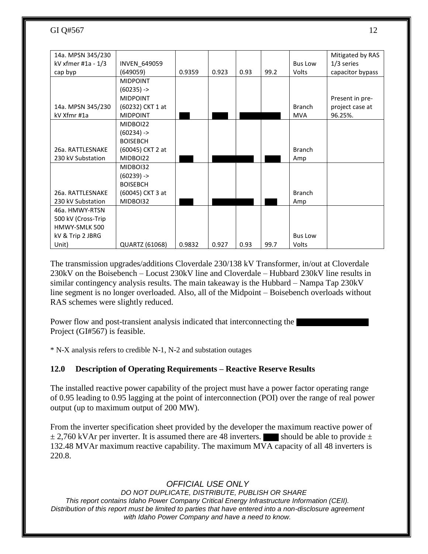| 14a. MPSN 345/230  |                  |        |       |      |      |                | Mitigated by RAS |
|--------------------|------------------|--------|-------|------|------|----------------|------------------|
| kV xfmer #1a - 1/3 | INVEN_649059     |        |       |      |      | <b>Bus Low</b> | $1/3$ series     |
| cap byp            | (649059)         | 0.9359 | 0.923 | 0.93 | 99.2 | Volts          | capacitor bypass |
|                    | <b>MIDPOINT</b>  |        |       |      |      |                |                  |
|                    | $(60235)$ ->     |        |       |      |      |                |                  |
|                    | <b>MIDPOINT</b>  |        |       |      |      |                | Present in pre-  |
| 14a. MPSN 345/230  | (60232) CKT 1 at |        |       |      |      | <b>Branch</b>  | project case at  |
| kV Xfmr #1a        | <b>MIDPOINT</b>  |        |       |      |      | <b>MVA</b>     | 96.25%.          |
|                    | MIDBOI22         |        |       |      |      |                |                  |
|                    | $(60234)$ ->     |        |       |      |      |                |                  |
|                    | <b>BOISEBCH</b>  |        |       |      |      |                |                  |
| 26a. RATTLESNAKE   | (60045) CKT 2 at |        |       |      |      | <b>Branch</b>  |                  |
| 230 kV Substation  | MIDBOI22         |        |       |      |      | Amp            |                  |
|                    | MIDBOI32         |        |       |      |      |                |                  |
|                    | $(60239)$ ->     |        |       |      |      |                |                  |
|                    | <b>BOISEBCH</b>  |        |       |      |      |                |                  |
| 26a. RATTLESNAKE   | (60045) CKT 3 at |        |       |      |      | <b>Branch</b>  |                  |
| 230 kV Substation  | MIDBOI32         |        |       |      |      | Amp            |                  |
| 46a. HMWY-RTSN     |                  |        |       |      |      |                |                  |
| 500 kV (Cross-Trip |                  |        |       |      |      |                |                  |
| HMWY-SMLK 500      |                  |        |       |      |      |                |                  |
| kV & Trip 2 JBRG   |                  |        |       |      |      | <b>Bus Low</b> |                  |
| Unit)              | QUARTZ (61068)   | 0.9832 | 0.927 | 0.93 | 99.7 | Volts          |                  |

The transmission upgrades/additions Cloverdale 230/138 kV Transformer, in/out at Cloverdale 230kV on the Boisebench – Locust 230kV line and Cloverdale – Hubbard 230kV line results in similar contingency analysis results. The main takeaway is the Hubbard – Nampa Tap 230kV line segment is no longer overloaded. Also, all of the Midpoint – Boisebench overloads without RAS schemes were slightly reduced.

Power flow and post-transient analysis indicated that interconnecting the Project (GI#567) is feasible.

\* N-X analysis refers to credible N-1, N-2 and substation outages

## **12.0 Description of Operating Requirements – Reactive Reserve Results**

The installed reactive power capability of the project must have a power factor operating range of 0.95 leading to 0.95 lagging at the point of interconnection (POI) over the range of real power output (up to maximum output of 200 MW).

From the inverter specification sheet provided by the developer the maximum reactive power of  $\pm$  2,760 kVAr per inverter. It is assumed there are 48 inverters. Should be able to provide  $\pm$ 132.48 MVAr maximum reactive capability. The maximum MVA capacity of all 48 inverters is 220.8.

## *OFFICIAL USE ONLY*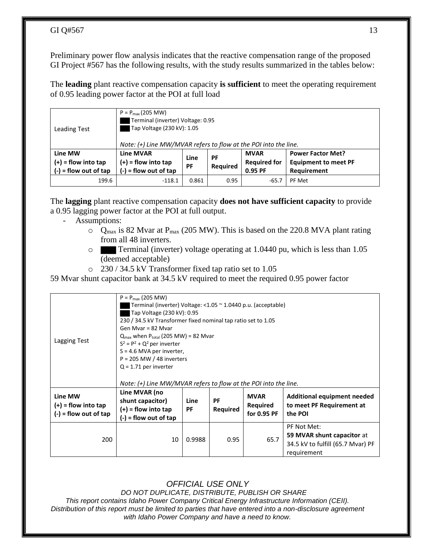Preliminary power flow analysis indicates that the reactive compensation range of the proposed GI Project #567 has the following results, with the study results summarized in the tables below:

The **leading** plant reactive compensation capacity **is sufficient** to meet the operating requirement of 0.95 leading power factor at the POI at full load

| <b>Leading Test</b>                                         | $P = P_{max}(205 MW)$<br>Terminal (inverter) Voltage: 0.95<br>Tap Voltage (230 kV): 1.05<br>Note: $(+)$ Line MW/MVAR refers to flow at the POI into the line.                                                                          |       |      |         |        |  |  |
|-------------------------------------------------------------|----------------------------------------------------------------------------------------------------------------------------------------------------------------------------------------------------------------------------------------|-------|------|---------|--------|--|--|
| Line MW<br>$(+)$ = flow into tap<br>$(-)$ = flow out of tap | <b>Line MVAR</b><br><b>MVAR</b><br><b>Power Factor Met?</b><br>РF<br>Line<br><b>Required for</b><br>$(+)$ = flow into tap<br><b>Equipment to meet PF</b><br><b>Required</b><br>PF<br>$(-)$ = flow out of tap<br>0.95 PF<br>Requirement |       |      |         |        |  |  |
| 199.6                                                       | $-118.1$                                                                                                                                                                                                                               | 0.861 | 0.95 | $-65.7$ | PF Met |  |  |

The **lagging** plant reactive compensation capacity **does not have sufficient capacity** to provide a 0.95 lagging power factor at the POI at full output.

- Assumptions:
	- $\circ$  Q<sub>max</sub> is 82 Mvar at P<sub>max</sub> (205 MW). This is based on the 220.8 MVA plant rating from all 48 inverters.
	- o Terminal (inverter) voltage operating at 1.0440 pu, which is less than 1.05 (deemed acceptable)
	- o 230 / 34.5 kV Transformer fixed tap ratio set to 1.05

59 Mvar shunt capacitor bank at 34.5 kV required to meet the required 0.95 power factor

| Lagging Test                                                | $P = P_{max}$ (205 MW)<br>Terminal (inverter) Voltage: <1.05 ~ 1.0440 p.u. (acceptable)<br>Tap Voltage (230 kV): 0.95<br>230 / 34.5 kV Transformer fixed nominal tap ratio set to 1.05<br>Gen Myar = 82 Myar<br>$Q_{\text{max}}$ when $P_{\text{total}}$ (205 MW) = 82 Mvar<br>$S^2 = P^2 + Q^2$ per inverter<br>$S = 4.6$ MVA per inverter,<br>$P = 205$ MW / 48 inverters<br>$Q = 1.71$ per inverter |        |      |      |                                                                                               |  |  |
|-------------------------------------------------------------|--------------------------------------------------------------------------------------------------------------------------------------------------------------------------------------------------------------------------------------------------------------------------------------------------------------------------------------------------------------------------------------------------------|--------|------|------|-----------------------------------------------------------------------------------------------|--|--|
| Line MW<br>$(+)$ = flow into tap<br>$(-)$ = flow out of tap | Line MVAR (no<br><b>MVAR</b><br>Additional equipment needed<br>PF<br>shunt capacitor)<br>Line<br>to meet PF Requirement at<br>Required<br>$(+)$ = flow into tap<br>PF<br>Required<br>for 0.95 PF<br>the POI<br>$(-)$ = flow out of tap                                                                                                                                                                 |        |      |      |                                                                                               |  |  |
| 200                                                         | 10                                                                                                                                                                                                                                                                                                                                                                                                     | 0.9988 | 0.95 | 65.7 | PF Not Met:<br>59 MVAR shunt capacitor at<br>34.5 kV to fulfill (65.7 Mvar) PF<br>requirement |  |  |

## *OFFICIAL USE ONLY*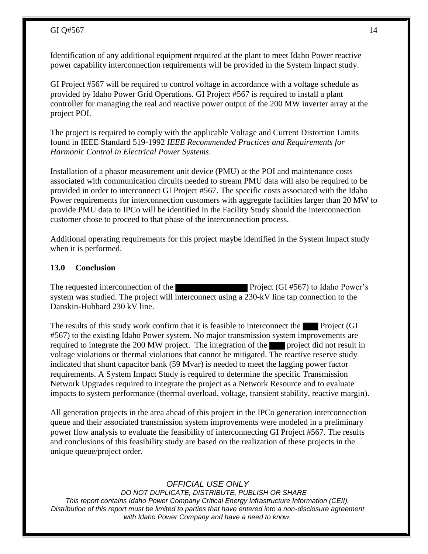Identification of any additional equipment required at the plant to meet Idaho Power reactive power capability interconnection requirements will be provided in the System Impact study.

GI Project #567 will be required to control voltage in accordance with a voltage schedule as provided by Idaho Power Grid Operations. GI Project #567 is required to install a plant controller for managing the real and reactive power output of the 200 MW inverter array at the project POI.

The project is required to comply with the applicable Voltage and Current Distortion Limits found in IEEE Standard 519-1992 *IEEE Recommended Practices and Requirements for Harmonic Control in Electrical Power Systems*.

Installation of a phasor measurement unit device (PMU) at the POI and maintenance costs associated with communication circuits needed to stream PMU data will also be required to be provided in order to interconnect GI Project #567. The specific costs associated with the Idaho Power requirements for interconnection customers with aggregate facilities larger than 20 MW to provide PMU data to IPCo will be identified in the Facility Study should the interconnection customer chose to proceed to that phase of the interconnection process.

Additional operating requirements for this project maybe identified in the System Impact study when it is performed.

#### **13.0 Conclusion**

The requested interconnection of the **Project** (GI #567) to Idaho Power's system was studied. The project will interconnect using a 230-kV line tap connection to the Danskin-Hubbard 230 kV line.

The results of this study work confirm that it is feasible to interconnect the Project (GI #567) to the existing Idaho Power system. No major transmission system improvements are required to integrate the 200 MW project. The integration of the project did not result in voltage violations or thermal violations that cannot be mitigated. The reactive reserve study indicated that shunt capacitor bank (59 Mvar) is needed to meet the lagging power factor requirements. A System Impact Study is required to determine the specific Transmission Network Upgrades required to integrate the project as a Network Resource and to evaluate impacts to system performance (thermal overload, voltage, transient stability, reactive margin).

All generation projects in the area ahead of this project in the IPCo generation interconnection queue and their associated transmission system improvements were modeled in a preliminary power flow analysis to evaluate the feasibility of interconnecting GI Project #567. The results and conclusions of this feasibility study are based on the realization of these projects in the unique queue/project order.

#### *OFFICIAL USE ONLY*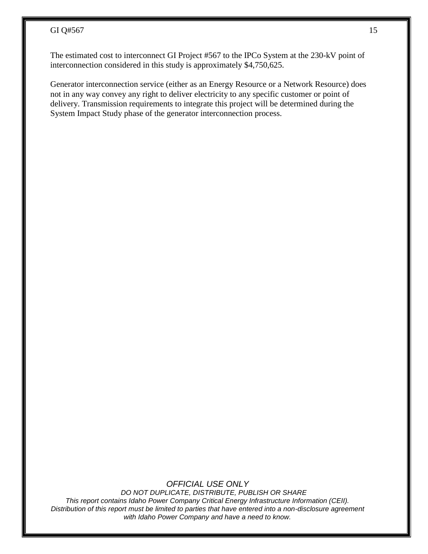The estimated cost to interconnect GI Project #567 to the IPCo System at the 230-kV point of interconnection considered in this study is approximately \$4,750,625.

Generator interconnection service (either as an Energy Resource or a Network Resource) does not in any way convey any right to deliver electricity to any specific customer or point of delivery. Transmission requirements to integrate this project will be determined during the System Impact Study phase of the generator interconnection process.

*OFFICIAL USE ONLY*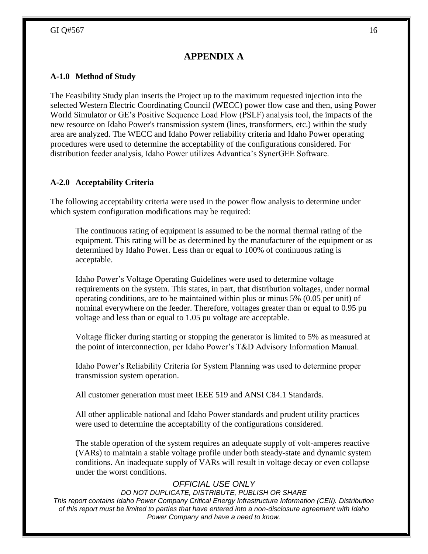## **APPENDIX A**

### **A-1.0 Method of Study**

The Feasibility Study plan inserts the Project up to the maximum requested injection into the selected Western Electric Coordinating Council (WECC) power flow case and then, using Power World Simulator or GE's Positive Sequence Load Flow (PSLF) analysis tool, the impacts of the new resource on Idaho Power's transmission system (lines, transformers, etc.) within the study area are analyzed. The WECC and Idaho Power reliability criteria and Idaho Power operating procedures were used to determine the acceptability of the configurations considered. For distribution feeder analysis, Idaho Power utilizes Advantica's SynerGEE Software.

### **A-2.0 Acceptability Criteria**

The following acceptability criteria were used in the power flow analysis to determine under which system configuration modifications may be required:

The continuous rating of equipment is assumed to be the normal thermal rating of the equipment. This rating will be as determined by the manufacturer of the equipment or as determined by Idaho Power. Less than or equal to 100% of continuous rating is acceptable.

Idaho Power's Voltage Operating Guidelines were used to determine voltage requirements on the system. This states, in part, that distribution voltages, under normal operating conditions, are to be maintained within plus or minus 5% (0.05 per unit) of nominal everywhere on the feeder. Therefore, voltages greater than or equal to 0.95 pu voltage and less than or equal to 1.05 pu voltage are acceptable.

Voltage flicker during starting or stopping the generator is limited to 5% as measured at the point of interconnection, per Idaho Power's T&D Advisory Information Manual.

Idaho Power's Reliability Criteria for System Planning was used to determine proper transmission system operation.

All customer generation must meet IEEE 519 and ANSI C84.1 Standards.

All other applicable national and Idaho Power standards and prudent utility practices were used to determine the acceptability of the configurations considered.

The stable operation of the system requires an adequate supply of volt-amperes reactive (VARs) to maintain a stable voltage profile under both steady-state and dynamic system conditions. An inadequate supply of VARs will result in voltage decay or even collapse under the worst conditions.

## *OFFICIAL USE ONLY*

*DO NOT DUPLICATE, DISTRIBUTE, PUBLISH OR SHARE*